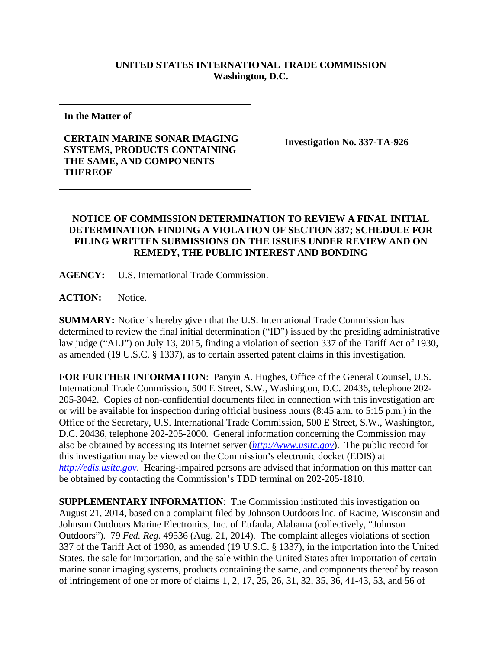## **UNITED STATES INTERNATIONAL TRADE COMMISSION Washington, D.C.**

**In the Matter of**

## **CERTAIN MARINE SONAR IMAGING SYSTEMS, PRODUCTS CONTAINING THE SAME, AND COMPONENTS THEREOF**

**Investigation No. 337-TA-926**

## **NOTICE OF COMMISSION DETERMINATION TO REVIEW A FINAL INITIAL DETERMINATION FINDING A VIOLATION OF SECTION 337; SCHEDULE FOR FILING WRITTEN SUBMISSIONS ON THE ISSUES UNDER REVIEW AND ON REMEDY, THE PUBLIC INTEREST AND BONDING**

**AGENCY:** U.S. International Trade Commission.

**ACTION:** Notice.

**SUMMARY:** Notice is hereby given that the U.S. International Trade Commission has determined to review the final initial determination ("ID") issued by the presiding administrative law judge ("ALJ") on July 13, 2015, finding a violation of section 337 of the Tariff Act of 1930, as amended (19 U.S.C. § 1337), as to certain asserted patent claims in this investigation.

**FOR FURTHER INFORMATION**: Panyin A. Hughes, Office of the General Counsel, U.S. International Trade Commission, 500 E Street, S.W., Washington, D.C. 20436, telephone 202- 205-3042. Copies of non-confidential documents filed in connection with this investigation are or will be available for inspection during official business hours (8:45 a.m. to 5:15 p.m.) in the Office of the Secretary, U.S. International Trade Commission, 500 E Street, S.W., Washington, D.C. 20436, telephone 202-205-2000. General information concerning the Commission may also be obtained by accessing its Internet server (*[http://www.usitc.gov](http://www.usitc.gov/)*). The public record for this investigation may be viewed on the Commission's electronic docket (EDIS) at *[http://edis.usitc.gov](http://edis.usitc.gov/)*. Hearing-impaired persons are advised that information on this matter can be obtained by contacting the Commission's TDD terminal on 202-205-1810.

**SUPPLEMENTARY INFORMATION**: The Commission instituted this investigation on August 21, 2014, based on a complaint filed by Johnson Outdoors lnc. of Racine, Wisconsin and Johnson Outdoors Marine Electronics, Inc. of Eufaula, Alabama (collectively, "Johnson Outdoors"). 79 *Fed. Reg.* 49536 (Aug. 21, 2014). The complaint alleges violations of section 337 of the Tariff Act of 1930, as amended (19 U.S.C. § 1337), in the importation into the United States, the sale for importation, and the sale within the United States after importation of certain marine sonar imaging systems, products containing the same, and components thereof by reason of infringement of one or more of claims 1, 2, 17, 25, 26, 31, 32, 35, 36, 41-43, 53, and 56 of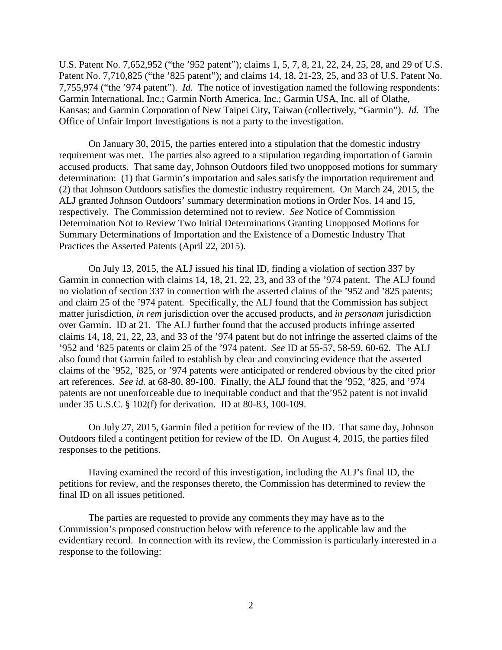U.S. Patent No. 7,652,952 ("the '952 patent"); claims 1, 5, 7, 8, 21, 22, 24, 25, 28, and 29 of U.S. Patent No. 7,710,825 ("the '825 patent"); and claims 14, 18, 21-23, 25, and 33 of U.S. Patent No. 7,755,974 ("the '974 patent"). *Id.* The notice of investigation named the following respondents: Garmin International, Inc.; Garmin North America, Inc.; Garmin USA, Inc. all of Olathe, Kansas; and Garmin Corporation of New Taipei City, Taiwan (collectively, "Garmin"). *Id.* The Office of Unfair Import Investigations is not a party to the investigation.

On January 30, 2015, the parties entered into a stipulation that the domestic industry requirement was met. The parties also agreed to a stipulation regarding importation of Garmin accused products. That same day, Johnson Outdoors filed two unopposed motions for summary determination: (1) that Garmin's importation and sales satisfy the importation requirement and (2) that Johnson Outdoors satisfies the domestic industry requirement. On March 24, 2015, the ALJ granted Johnson Outdoors' summary determination motions in Order Nos. 14 and 15, respectively. The Commission determined not to review. *See* Notice of Commission Determination Not to Review Two Initial Determinations Granting Unopposed Motions for Summary Determinations of Importation and the Existence of a Domestic Industry That Practices the Asserted Patents (April 22, 2015).

On July 13, 2015, the ALJ issued his final ID, finding a violation of section 337 by Garmin in connection with claims 14, 18, 21, 22, 23, and 33 of the '974 patent. The ALJ found no violation of section 337 in connection with the asserted claims of the '952 and '825 patents; and claim 25 of the '974 patent. Specifically, the ALJ found that the Commission has subject matter jurisdiction, *in rem* jurisdiction over the accused products, and *in personam* jurisdiction over Garmin. ID at 21. The ALJ further found that the accused products infringe asserted claims 14, 18, 21, 22, 23, and 33 of the '974 patent but do not infringe the asserted claims of the '952 and '825 patents or claim 25 of the '974 patent. *See* ID at 55-57, 58-59, 60-62. The ALJ also found that Garmin failed to establish by clear and convincing evidence that the asserted claims of the '952, '825, or '974 patents were anticipated or rendered obvious by the cited prior art references. *See id.* at 68-80, 89-100. Finally, the ALJ found that the '952, '825, and '974 patents are not unenforceable due to inequitable conduct and that the'952 patent is not invalid under 35 U.S.C. § 102(f) for derivation. ID at 80-83, 100-109.

On July 27, 2015, Garmin filed a petition for review of the ID. That same day, Johnson Outdoors filed a contingent petition for review of the ID. On August 4, 2015, the parties filed responses to the petitions.

Having examined the record of this investigation, including the ALJ's final ID, the petitions for review, and the responses thereto, the Commission has determined to review the final ID on all issues petitioned.

The parties are requested to provide any comments they may have as to the Commission's proposed construction below with reference to the applicable law and the evidentiary record. In connection with its review, the Commission is particularly interested in a response to the following: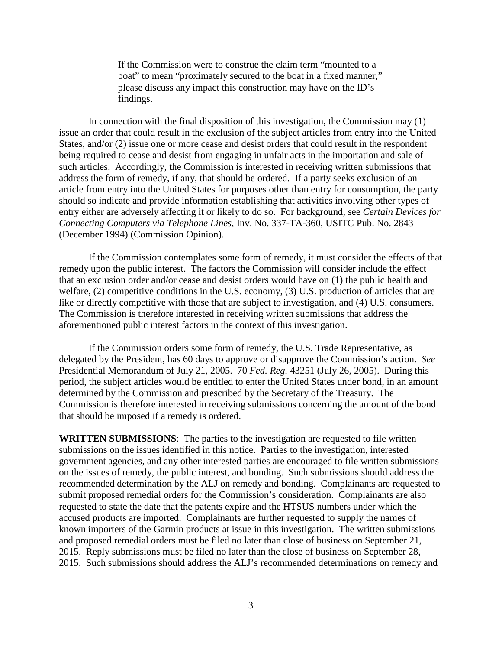If the Commission were to construe the claim term "mounted to a boat" to mean "proximately secured to the boat in a fixed manner," please discuss any impact this construction may have on the ID's findings.

In connection with the final disposition of this investigation, the Commission may (1) issue an order that could result in the exclusion of the subject articles from entry into the United States, and/or (2) issue one or more cease and desist orders that could result in the respondent being required to cease and desist from engaging in unfair acts in the importation and sale of such articles. Accordingly, the Commission is interested in receiving written submissions that address the form of remedy, if any, that should be ordered. If a party seeks exclusion of an article from entry into the United States for purposes other than entry for consumption, the party should so indicate and provide information establishing that activities involving other types of entry either are adversely affecting it or likely to do so. For background, see *Certain Devices for Connecting Computers via Telephone Lines*, Inv. No. 337-TA-360, USITC Pub. No. 2843 (December 1994) (Commission Opinion).

If the Commission contemplates some form of remedy, it must consider the effects of that remedy upon the public interest. The factors the Commission will consider include the effect that an exclusion order and/or cease and desist orders would have on (1) the public health and welfare, (2) competitive conditions in the U.S. economy, (3) U.S. production of articles that are like or directly competitive with those that are subject to investigation, and (4) U.S. consumers. The Commission is therefore interested in receiving written submissions that address the aforementioned public interest factors in the context of this investigation.

If the Commission orders some form of remedy, the U.S. Trade Representative, as delegated by the President, has 60 days to approve or disapprove the Commission's action. *See*  Presidential Memorandum of July 21, 2005. 70 *Fed. Reg.* 43251 (July 26, 2005). During this period, the subject articles would be entitled to enter the United States under bond, in an amount determined by the Commission and prescribed by the Secretary of the Treasury. The Commission is therefore interested in receiving submissions concerning the amount of the bond that should be imposed if a remedy is ordered.

**WRITTEN SUBMISSIONS**: The parties to the investigation are requested to file written submissions on the issues identified in this notice. Parties to the investigation, interested government agencies, and any other interested parties are encouraged to file written submissions on the issues of remedy, the public interest, and bonding. Such submissions should address the recommended determination by the ALJ on remedy and bonding. Complainants are requested to submit proposed remedial orders for the Commission's consideration. Complainants are also requested to state the date that the patents expire and the HTSUS numbers under which the accused products are imported. Complainants are further requested to supply the names of known importers of the Garmin products at issue in this investigation. The written submissions and proposed remedial orders must be filed no later than close of business on September 21, 2015. Reply submissions must be filed no later than the close of business on September 28, 2015. Such submissions should address the ALJ's recommended determinations on remedy and